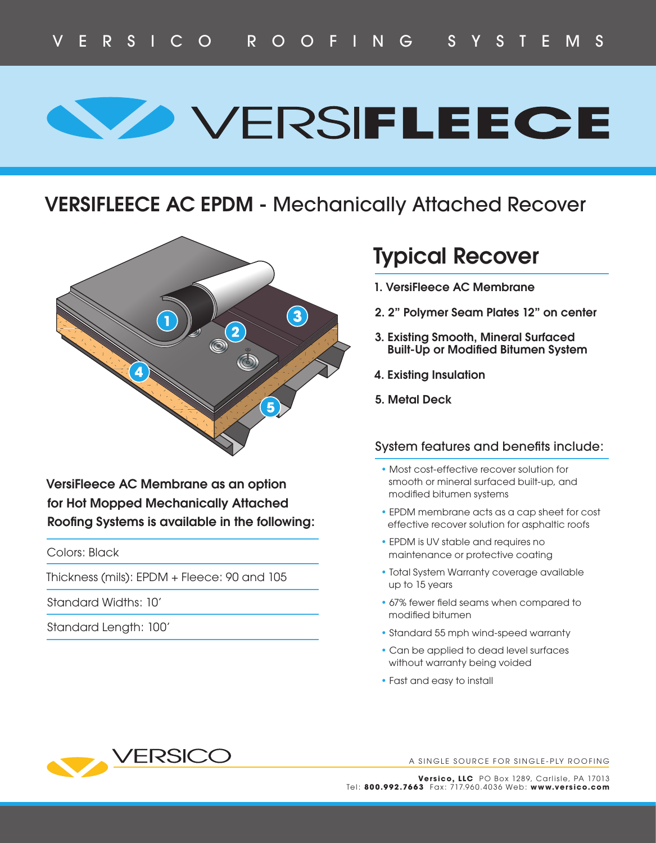# **SO VERSIFLEECE**

### **VERSIFLEECE AC EPDM -** Mechanically Attached Recover



**VersiFleece AC Membrane as an option for Hot Mopped Mechanically Attached Roofing Systems is available in the following:** 

Colors: Black

Thickness (mils): EPDM + Fleece: 90 and 105

Standard Widths: 10'

Standard Length: 100'

## **Typical Recover**

- **1. VersiFleece AC Membrane**
- **2. 2" Polymer Seam Plates 12" on center**
- **3. Existing Smooth, Mineral Surfaced Built-Up or Modified Bitumen System**
- **4. Existing Insulation**
- **5. Metal Deck**

#### System features and benefits include:

- Most cost-effective recover solution for smooth or mineral surfaced built-up, and modified bitumen systems
- EPDM membrane acts as a cap sheet for cost effective recover solution for asphaltic roofs
- EPDM is UV stable and requires no maintenance or protective coating
- Total System Warranty coverage available up to 15 years
- 67% fewer field seams when compared to modified bitumen
- Standard 55 mph wind-speed warranty
- Can be applied to dead level surfaces without warranty being voided
- Fast and easy to install



A SINGLE SOURCE FOR SINGLE-PLY ROOFING

**Versico, LLC** PO Box 1289, Carlisle, PA 17013 Tel: **800.992.7663** Fax: 717.960.4 036 Web: **www.versico.com**